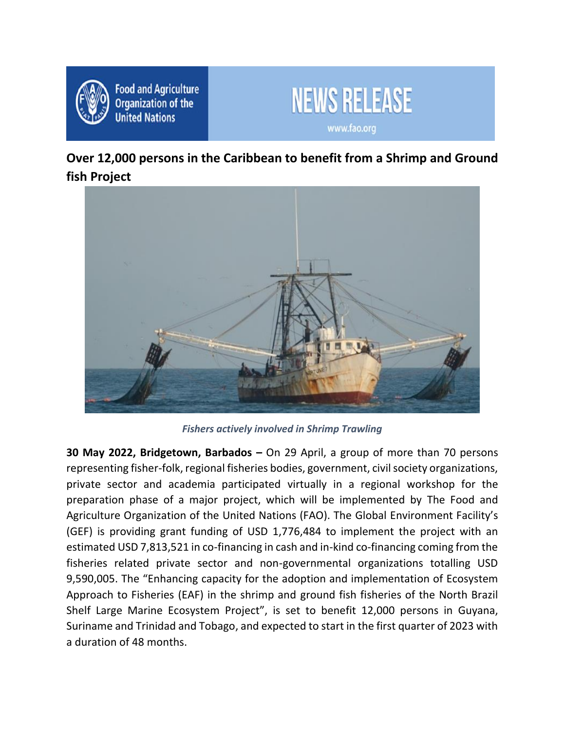

**Food and Agriculture Organization of the United Nations** 



**Over 12,000 persons in the Caribbean to benefit from a Shrimp and Ground fish Project**



*Fishers actively involved in Shrimp Trawling*

**30 May 2022, Bridgetown, Barbados –** On 29 April, a group of more than 70 persons representing fisher-folk, regional fisheries bodies, government, civil society organizations, private sector and academia participated virtually in a regional workshop for the preparation phase of a major project, which will be implemented by The Food and Agriculture Organization of the United Nations (FAO). The Global Environment Facility's (GEF) is providing grant funding of USD 1,776,484 to implement the project with an estimated USD 7,813,521 in co-financing in cash and in-kind co-financing coming from the fisheries related private sector and non-governmental organizations totalling USD 9,590,005. The "Enhancing capacity for the adoption and implementation of Ecosystem Approach to Fisheries (EAF) in the shrimp and ground fish fisheries of the North Brazil Shelf Large Marine Ecosystem Project", is set to benefit 12,000 persons in Guyana, Suriname and Trinidad and Tobago, and expected to start in the first quarter of 2023 with a duration of 48 months.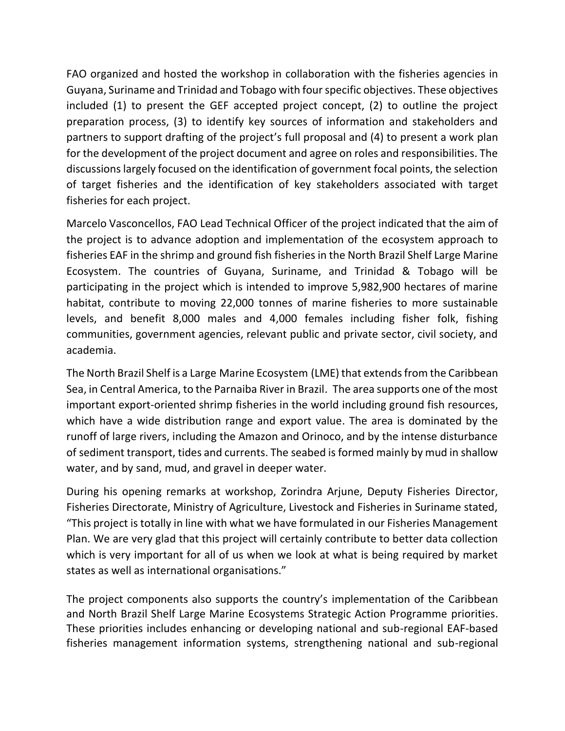FAO organized and hosted the workshop in collaboration with the fisheries agencies in Guyana, Suriname and Trinidad and Tobago with four specific objectives. These objectives included (1) to present the GEF accepted project concept, (2) to outline the project preparation process, (3) to identify key sources of information and stakeholders and partners to support drafting of the project's full proposal and (4) to present a work plan for the development of the project document and agree on roles and responsibilities. The discussions largely focused on the identification of government focal points, the selection of target fisheries and the identification of key stakeholders associated with target fisheries for each project.

Marcelo Vasconcellos, FAO Lead Technical Officer of the project indicated that the aim of the project is to advance adoption and implementation of the ecosystem approach to fisheries EAF in the shrimp and ground fish fisheries in the North Brazil Shelf Large Marine Ecosystem. The countries of Guyana, Suriname, and Trinidad & Tobago will be participating in the project which is intended to improve 5,982,900 hectares of marine habitat, contribute to moving 22,000 tonnes of marine fisheries to more sustainable levels, and benefit 8,000 males and 4,000 females including fisher folk, fishing communities, government agencies, relevant public and private sector, civil society, and academia.

The North Brazil Shelf is a Large [Marine Ecosystem](https://www.sciencedirect.com/topics/earth-and-planetary-sciences/aquatic-ecosystem) (LME) that extends from the Caribbean Sea, in Central America, to the Parnaiba River in Brazil. The area supports one of the most important export-oriented shrimp fisheries in the world including ground fish resources, which have a wide distribution range and export value. The area is dominated by the runoff of large rivers, including the Amazon and Orinoco, and by the intense disturbance of [sediment transport,](https://www.sciencedirect.com/topics/earth-and-planetary-sciences/earth-surface-sediment-transport) tides and currents. The seabed is formed mainly by mud in shallow water, and by sand, mud, and gravel in deeper water.

During his opening remarks at workshop, Zorindra Arjune, Deputy Fisheries Director, Fisheries Directorate, Ministry of Agriculture, Livestock and Fisheries in Suriname stated, "This project is totally in line with what we have formulated in our Fisheries Management Plan. We are very glad that this project will certainly contribute to better data collection which is very important for all of us when we look at what is being required by market states as well as international organisations."

The project components also supports the country's implementation of the Caribbean and North Brazil Shelf Large Marine Ecosystems Strategic Action Programme priorities. These priorities includes enhancing or developing national and sub-regional EAF-based fisheries management information systems, strengthening national and sub-regional